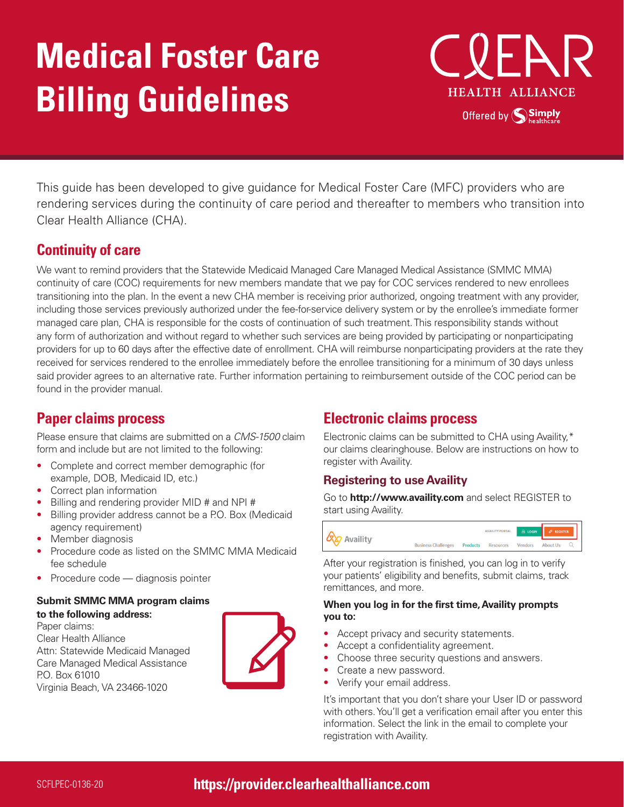# **Medical Foster Care Billing Guidelines**



This guide has been developed to give guidance for Medical Foster Care (MFC) providers who are rendering services during the continuity of care period and thereafter to members who transition into Clear Health Alliance (CHA).

# **Continuity of care**

We want to remind providers that the Statewide Medicaid Managed Care Managed Medical Assistance (SMMC MMA) continuity of care (COC) requirements for new members mandate that we pay for COC services rendered to new enrollees transitioning into the plan. In the event a new CHA member is receiving prior authorized, ongoing treatment with any provider, including those services previously authorized under the fee-for-service delivery system or by the enrollee's immediate former managed care plan, CHA is responsible for the costs of continuation of such treatment. This responsibility stands without any form of authorization and without regard to whether such services are being provided by participating or nonparticipating providers for up to 60 days after the effective date of enrollment. CHA will reimburse nonparticipating providers at the rate they received for services rendered to the enrollee immediately before the enrollee transitioning for a minimum of 30 days unless said provider agrees to an alternative rate. Further information pertaining to reimbursement outside of the COC period can be found in the provider manual.

# **Paper claims process**

Please ensure that claims are submitted on a *CMS-1500* claim form and include but are not limited to the following:

- Complete and correct member demographic (for example, DOB, Medicaid ID, etc.)
- Correct plan information
- Billing and rendering provider MID # and NPI #
- Billing provider address cannot be a P.O. Box (Medicaid agency requirement)
- Member diagnosis
- Procedure code as listed on the SMMC MMA Medicaid fee schedule
- Procedure code diagnosis pointer

# **Submit SMMC MMA program claims**

**to the following address:** Paper claims: Clear Health Alliance Attn: Statewide Medicaid Managed Care Managed Medical Assistance P.O. Box 61010 Virginia Beach, VA 23466-1020



# **Electronic claims process**

Electronic claims can be submitted to CHA using Availity,\* our claims clearinghouse. Below are instructions on how to register with Availity.

## **Registering to use Availity**

Go to **http://www.availity.com** and select REGISTER to start using Availity.



After your registration is finished, you can log in to verify your patients' eligibility and benefits, submit claims, track remittances, and more.

#### **When you log in for the first time, Availity prompts you to:**

- Accept privacy and security statements.
- Accept a confidentiality agreement.
- Choose three security questions and answers.
- Create a new password.
- Verify your email address.

It's important that you don't share your User ID or password with others. You'll get a verification email after you enter this information. Select the link in the email to complete your registration with Availity.

SCFLPEC-0136-20 **https://provider.clearhealthalliance.com**